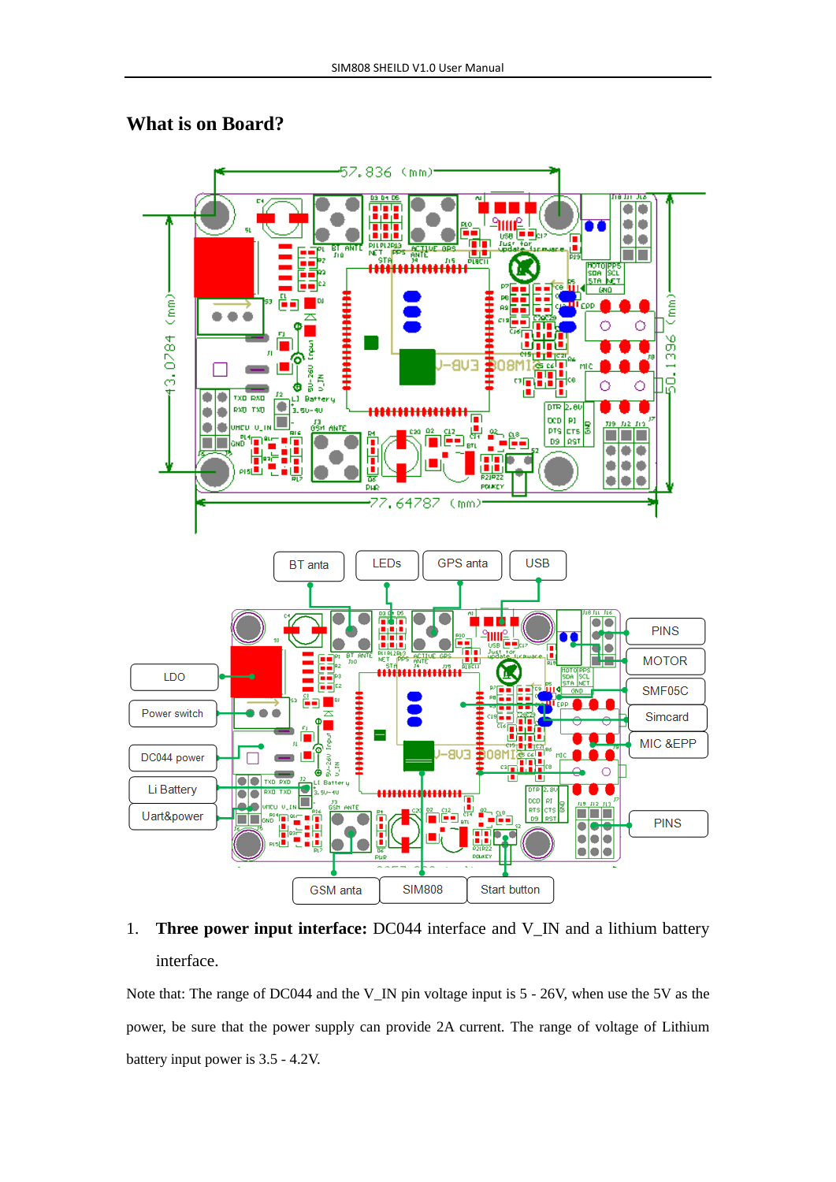#### **What is on Board?**



# 1. **Three power input interface:** DC044 interface and V\_IN and a lithium battery interface.

Note that: The range of DC044 and the V\_IN pin voltage input is 5 - 26V, when use the 5V as the power, be sure that the power supply can provide 2A current. The range of voltage of Lithium battery input power is 3.5 - 4.2V.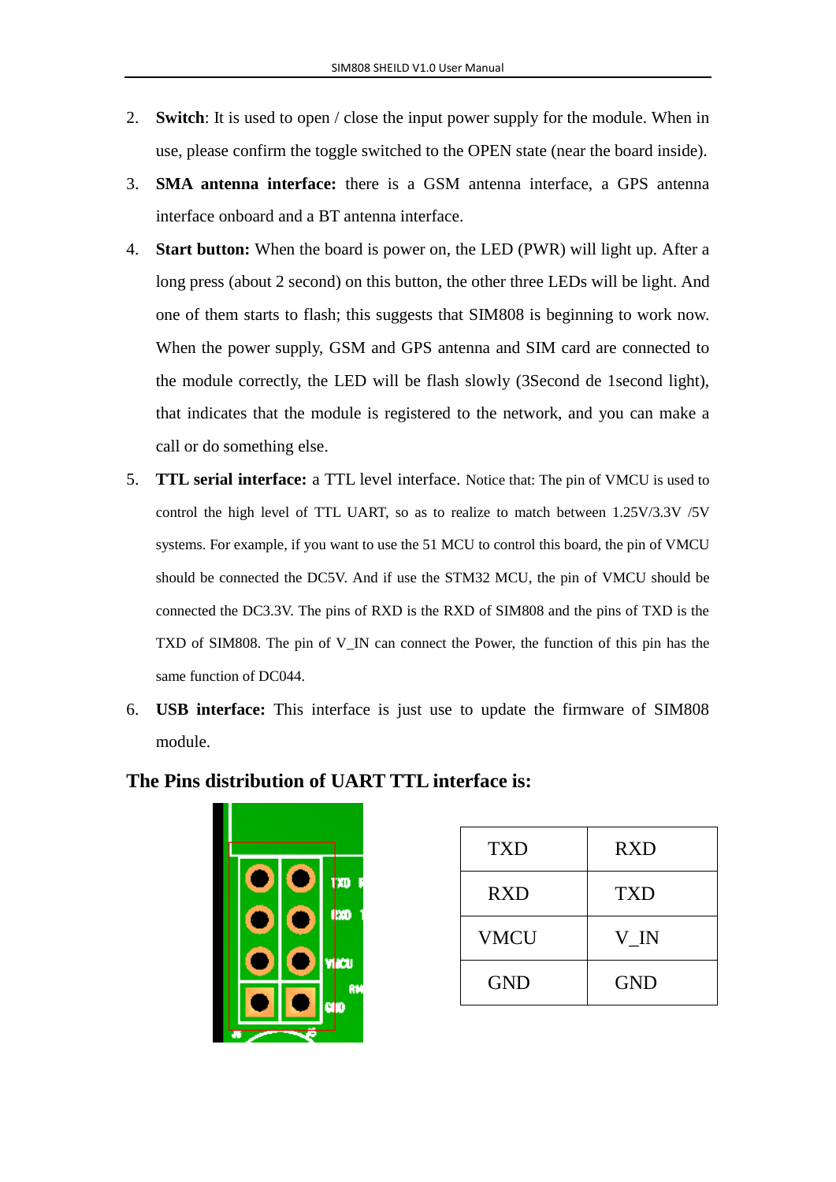- 2. **Switch**: It is used to open / close the input power supply for the module. When in use, please confirm the toggle switched to the OPEN state (near the board inside).
- 3. **SMA antenna interface:** there is a GSM antenna interface, a GPS antenna interface onboard and a BT antenna interface.
- 4. **Start button:** When the board is power on, the LED (PWR) will light up. After a long press (about 2 second) on this button, the other three LEDs will be light. And one of them starts to flash; this suggests that SIM808 is beginning to work now. When the power supply, GSM and GPS antenna and SIM card are connected to the module correctly, the LED will be flash slowly (3Second de 1second light), that indicates that the module is registered to the network, and you can make a call or do something else.
- 5. **TTL serial interface:** a TTL level interface. Notice that: The pin of VMCU is used to control the high level of TTL UART, so as to realize to match between 1.25V/3.3V /5V systems. For example, if you want to use the 51 MCU to control this board, the pin of VMCU should be connected the DC5V. And if use the STM32 MCU, the pin of VMCU should be connected the DC3.3V. The pins of RXD is the RXD of SIM808 and the pins of TXD is the TXD of SIM808. The pin of V\_IN can connect the Power, the function of this pin has the same function of DC044.
- 6. **USB interface:** This interface is just use to update the firmware of SIM808 module.



| <b>TXD</b>  | <b>RXD</b> |
|-------------|------------|
| <b>RXD</b>  | <b>TXD</b> |
| <b>VMCU</b> | V IN       |
| <b>GND</b>  | <b>GND</b> |

#### **The Pins distribution of UART TTL interface is:**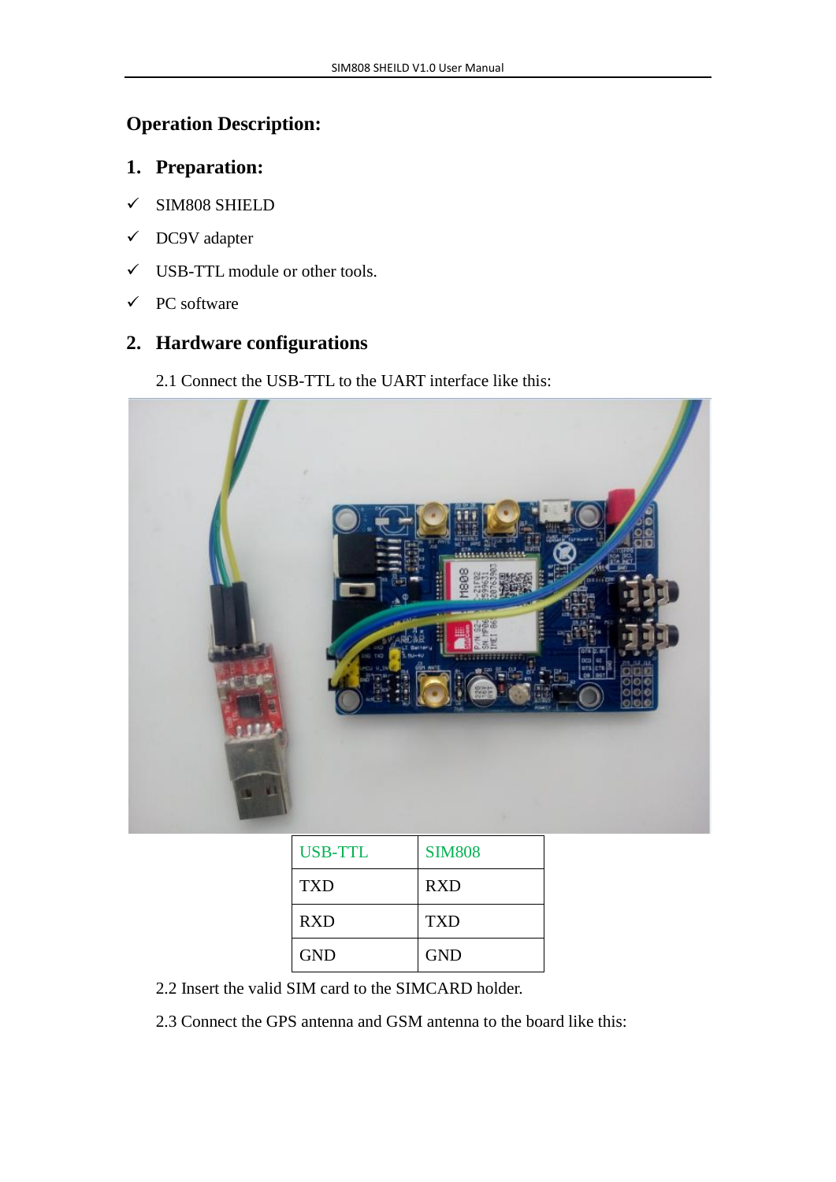# **Operation Description:**

## **1. Preparation:**

- SIM808 SHIELD
- DC9V adapter
- USB-TTL module or other tools.
- $\checkmark$  PC software

## **2. Hardware configurations**

2.1 Connect the USB-TTL to the UART interface like this:



| USB-TTL    | <b>SIM808</b> |
|------------|---------------|
| TXD        | <b>RXD</b>    |
| <b>RXD</b> | <b>TXD</b>    |
| <b>GND</b> | <b>GND</b>    |

- 2.2 Insert the valid SIM card to the SIMCARD holder.
- 2.3 Connect the GPS antenna and GSM antenna to the board like this: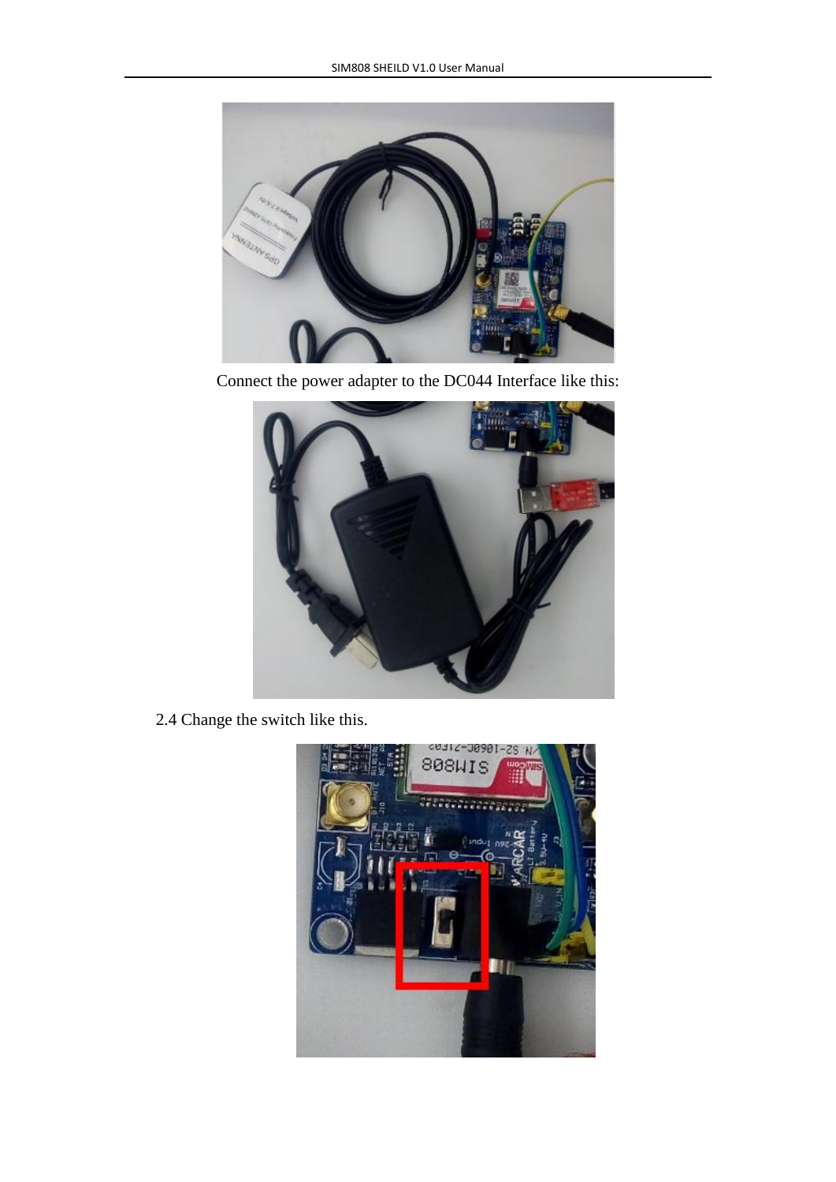

Connect the power adapter to the DC044 Interface like this:



2.4 Change the switch like this.

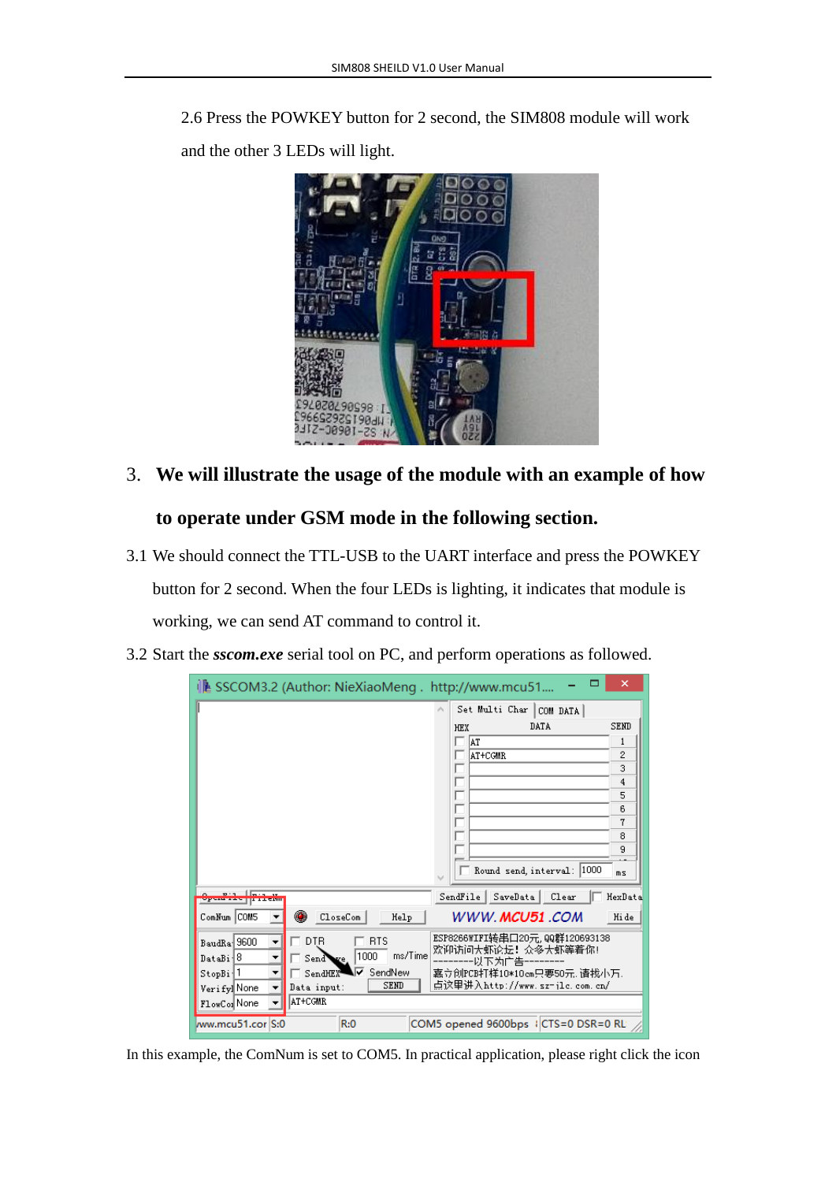2.6 Press the POWKEY button for 2 second, the SIM808 module will work and the other 3 LEDs will light.



# 3. **We will illustrate the usage of the module with an example of how**

### **to operate under GSM mode in the following section.**

- 3.1 We should connect the TTL-USB to the UART interface and press the POWKEY button for 2 second. When the four LEDs is lighting, it indicates that module is working, we can send AT command to control it.
- 3.2 Start the *sscom.exe* serial tool on PC, and perform operations as followed.

|                      | ↓▲ SSCOM3.2 (Author: NieXiaoMeng. http://www.mcu51 |                                      | ×           |
|----------------------|----------------------------------------------------|--------------------------------------|-------------|
|                      |                                                    | Set Multi Char<br>COM DATA           |             |
|                      |                                                    | DATA<br><b>HEX</b>                   | <b>SEND</b> |
|                      |                                                    | ÅΤ                                   | 1           |
|                      |                                                    | AT+CGMR                              | 2           |
|                      |                                                    |                                      | 3           |
|                      |                                                    |                                      | 4           |
|                      |                                                    |                                      | 5<br>6      |
|                      |                                                    |                                      | 7           |
|                      |                                                    |                                      | 8           |
|                      |                                                    |                                      | 9           |
|                      |                                                    | Round send, interval: 1000           | ms          |
|                      |                                                    | SendFile  <br>SaveData  <br>Clear    | HexData     |
| ComNum COM5          | œ<br>CloseCom<br>Help                              | WWW. <b>MCU51</b> .COM               | Hi de       |
| BaudRa 9600<br>▼     | <b>DTR</b><br><b>RTS</b>                           | ESP8266WIFI转串口20元,QQ群120693138       |             |
| DataBi <sup>18</sup> | ms/Time<br>1000<br>Send Ye                         | 欢迎访问大虾论坛! 众多大虾等着你!<br>以下为广告          |             |
| StopBi 1<br>▼        | SendNew<br>SendHEX                                 | 嘉立创PCB打样10*10cm只要50元,请找小万.           |             |
| Verify]None          | <b>SEND</b><br>Data input:                         | 点这里讲入http://www.sz-jlc.com.cn/       |             |
| FlowCon None         | <b>AT+CGMR</b>                                     |                                      |             |
| ww.mcu51.cor S:0     | R:0                                                | COM5 opened 9600bps   CTS=0 DSR=0 RL |             |

In this example, the ComNum is set to COM5. In practical application, please right click the icon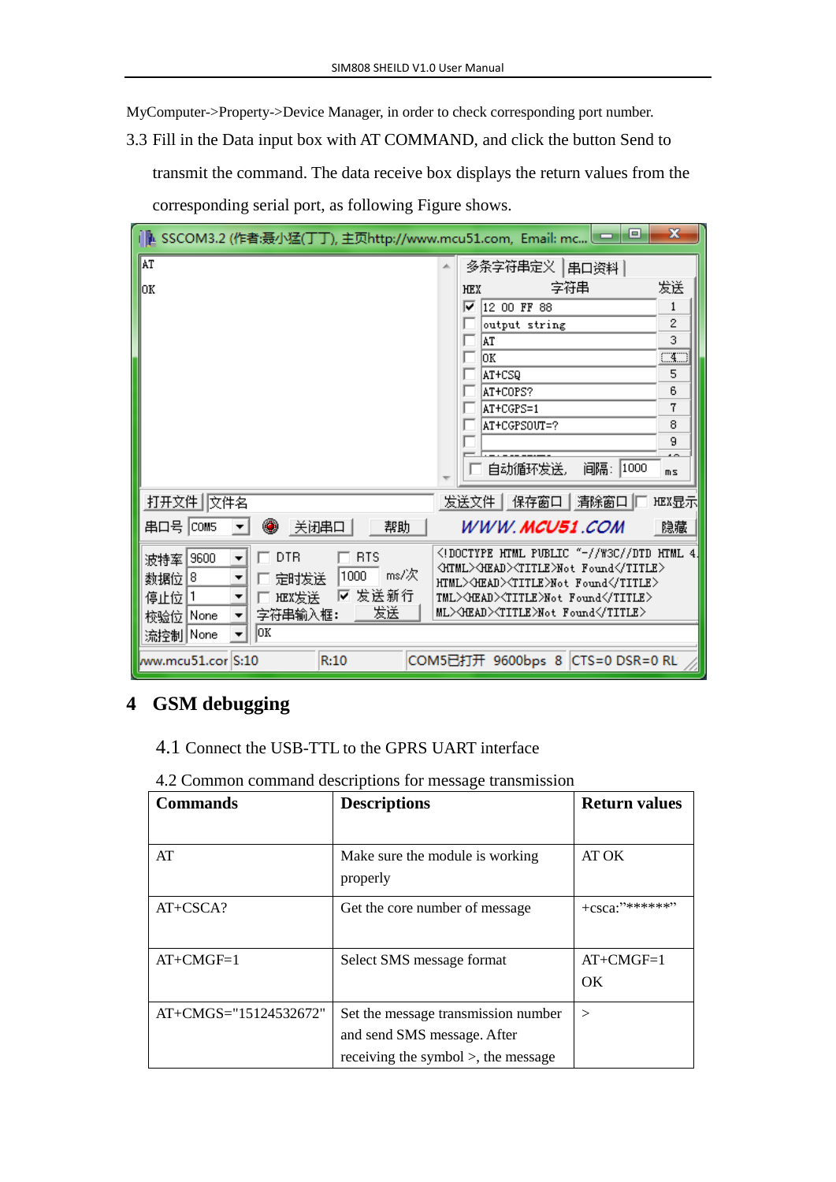MyComputer->Property->Device Manager, in order to check corresponding port number.

3.3 Fill in the Data input box with AT COMMAND, and click the button Send to transmit the command. The data receive box displays the return values from the corresponding serial port, as following Figure shows.

| IL SSCOM3.2 (作者:聂小猛(丁丁), 主页http://www.mcu51.com, Email: mc □                                                                             | $\mathbf x$  |
|------------------------------------------------------------------------------------------------------------------------------------------|--------------|
| <b>AT</b><br>多条字符串定义  串口资料                                                                                                               |              |
| 字符串<br>lоĸ<br><b>HEX</b>                                                                                                                 | 发送           |
| ☞<br>12 00 FF 88                                                                                                                         | 1            |
| output string                                                                                                                            | 2            |
| AT                                                                                                                                       | 3            |
| lok.                                                                                                                                     | $\square$    |
| AT+CSQ                                                                                                                                   | 5            |
| AT+COPS?                                                                                                                                 | 6            |
| AT+CGPS=1                                                                                                                                | 7<br>8       |
| AT+CGPSOUT=?                                                                                                                             | 9            |
|                                                                                                                                          |              |
| 间隔: 1000<br>自动循环发送。                                                                                                                      | mS           |
| 打开文件 交件名<br>发送文件   保存窗口   清除窗口  [                                                                                                        | <b>HEX显示</b> |
| ۰<br>串口号  COM5<br>关闭串口<br>WWW.MCU51.COM<br>帮助                                                                                            | 隐藏           |
| (!DOCTYPE HTML PUBLIC "-//W3C//DTD HTML 4.)<br><b>RTS</b><br><b>DTR</b><br>波特率 9600<br>▼                                                 |              |
| <b><html><head><title>Not_Found</title></head></html></b><br>$ms/\mathcal{R}$<br>1000<br>数据位  8 <br>▼<br>定时发送                            |              |
| HTML> <head><title>Not Found</title><br/>☑ 发送新行<br/><b>HEX发送</b><br/>停止位 1<br/>TML&gt;<head><title>Not Found</title><br/>▼</head></head> |              |
| 发送<br>ML>\HEAD>\TITLE>Not Found\/TITLE><br>字符串输入框:<br>校验位 None<br>۰                                                                      |              |
| OK<br>流控制 None                                                                                                                           |              |
|                                                                                                                                          |              |
| R:10<br>COM5已打开 9600bps 8 CTS=0 DSR=0 RL<br>lww.mcu51.cor S:10                                                                           |              |

# **4 GSM debugging**

4.1 Connect the USB-TTL to the GPRS UART interface

|  |  |  | 4.2 Common command descriptions for message transmission |  |
|--|--|--|----------------------------------------------------------|--|
|  |  |  |                                                          |  |

| <b>Commands</b>          | <b>Descriptions</b>                         | <b>Return values</b> |
|--------------------------|---------------------------------------------|----------------------|
|                          |                                             |                      |
| AT                       | Make sure the module is working<br>properly | AT OK                |
| $AT+CSCA?$               | Get the core number of message              | $+csca$ : $4****$    |
| $AT+CMGF=1$              | Select SMS message format                   | $AT+CMGF=1$          |
|                          |                                             | <b>OK</b>            |
| $AT+CMGS = 15124532672"$ | Set the message transmission number         | $\rm{>}$             |
|                          | and send SMS message. After                 |                      |
|                          | receiving the symbol $>$ , the message      |                      |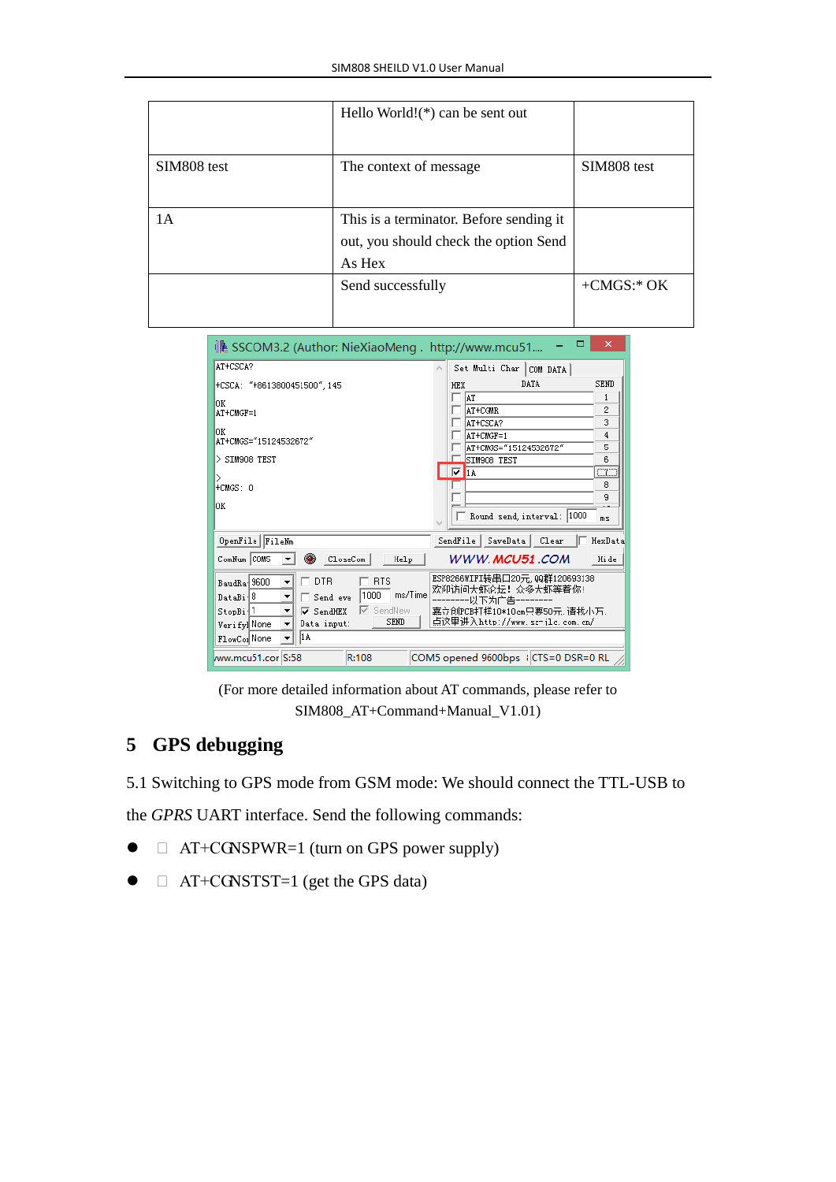|             | Hello World! $(*)$ can be sent out                                                         |               |
|-------------|--------------------------------------------------------------------------------------------|---------------|
| SIM808 test | The context of message                                                                     | SIM808 test   |
| 1А          | This is a terminator. Before sending it<br>out, you should check the option Send<br>As Hex |               |
|             | Send successfully                                                                          | $+CMGS$ :* OK |

| ▭<br>↓ SSCOM3.2 (Author: NieXiaoMeng . http://www.mcu51                                                      | ×           |
|--------------------------------------------------------------------------------------------------------------|-------------|
| AT+CSCA?<br>Set Multi Char COM DATA                                                                          |             |
| DATA<br><b>HEX</b><br>+CSCA: "+8613800451500", 145                                                           | <b>SEND</b> |
| AT<br>lОK                                                                                                    | 1           |
| AT+CGMR<br>AT+CMGF=1                                                                                         | 2           |
| AT+CSCA?<br>lОK                                                                                              | 3           |
| AT+CMGF=1<br>AT+CMGS="15124532672"                                                                           | 4           |
| AT+CMGS="15124532672"<br>$>$ SIM908 TEST<br>SIM908 TEST                                                      | 5<br>6      |
| ⊡<br>1A                                                                                                      | a           |
| ⋋<br>$+CMGS: 0$                                                                                              | 8           |
|                                                                                                              | 9           |
| OК                                                                                                           |             |
| Round send, interval: 1000                                                                                   | ms          |
| OpenFile FileNm<br>SaveData Clear<br>SendFile                                                                | HexData     |
| ۰<br>WWW.MCU51.COM<br>ComNum COM5<br>CloseCom<br>Help                                                        | Hi de       |
| ESP8266WIFI转串口20元,QQ群120693138<br><b>DTR</b><br>$\sqcap$ RTS<br>BaudRa 9600<br>٠                             |             |
| 欢迎访问大虾论坛!众多大虾等着你!<br>ms/Time<br>1000<br>DataBi <sup>18</sup><br>Send eve<br>-以下为亡告                           |             |
| SendNew<br>⊽<br>嘉立创PCB打样10*10cm只要50元,请找小万.<br>StopBi <sup>1</sup><br>$\overline{\triangledown}$ SendHEX<br>▼ |             |
| 点这里讲入http://www.sz-jlc.com.cn/<br><b>SEND</b><br>Data input:<br>Verify]None                                  |             |
| l1 A<br>FlowCor None                                                                                         |             |
| R:108<br>COM5 opened 9600bps   CTS=0 DSR=0 RL<br>ww.mcu51.cor S:58                                           |             |

(For more detailed information about AT commands, please refer to SIM808\_AT+Command+Manual\_V1.01)

## **5 GPS debugging**

5.1 Switching to GPS mode from GSM mode: We should connect the TTL-USB to

the *GPRS* UART interface. Send the following commands:

- □ AT+CGNSPWR=1 (turn on GPS power supply)
- $\bullet$   $\Box$  AT+CGNSTST=1 (get the GPS data)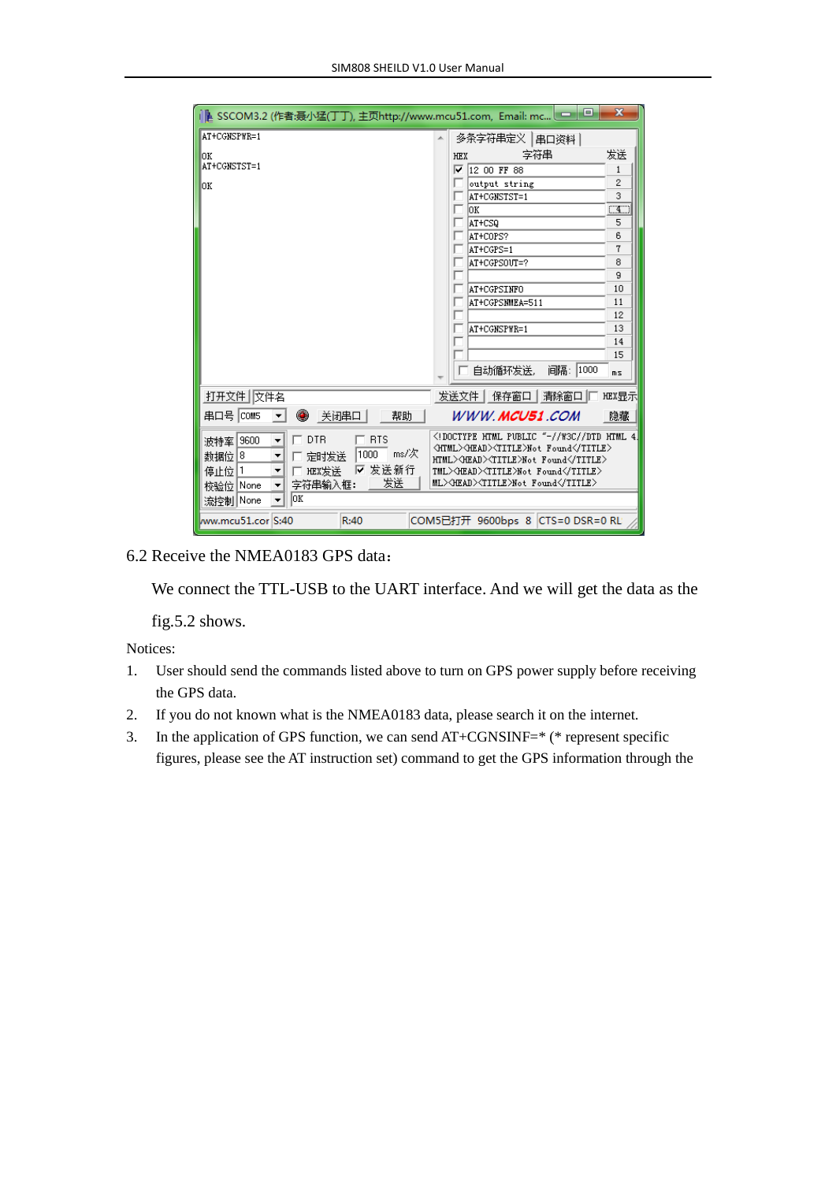| L SSCOM3.2 (作者:聂小猛(丁丁), 主页http://www.mcu51.com, Email: mc └──                                                                                                            | $\mathbf x$<br>e.                                                                                                                                                                                                                   |
|--------------------------------------------------------------------------------------------------------------------------------------------------------------------------|-------------------------------------------------------------------------------------------------------------------------------------------------------------------------------------------------------------------------------------|
| AT+CGNSPWR=1                                                                                                                                                             | 多条字符串定义 串口资料                                                                                                                                                                                                                        |
| OК                                                                                                                                                                       | 发送<br>享符串<br><b>HEX</b>                                                                                                                                                                                                             |
| AT+CGNSTST=1                                                                                                                                                             | $\sqrt{1200}$ FF 88<br>$\mathbf{1}$                                                                                                                                                                                                 |
| ОK                                                                                                                                                                       | 2<br>output string                                                                                                                                                                                                                  |
|                                                                                                                                                                          | 3<br>AT+CGNSTST=1                                                                                                                                                                                                                   |
|                                                                                                                                                                          | CT<br>lok.                                                                                                                                                                                                                          |
|                                                                                                                                                                          | AT+CSQ<br>5                                                                                                                                                                                                                         |
|                                                                                                                                                                          | 6<br>AT+COPS?                                                                                                                                                                                                                       |
|                                                                                                                                                                          | 7<br>AT+CGPS=1                                                                                                                                                                                                                      |
|                                                                                                                                                                          | 8<br>AT+CGPSOUT=?                                                                                                                                                                                                                   |
|                                                                                                                                                                          | 9<br>10                                                                                                                                                                                                                             |
|                                                                                                                                                                          | <b>AT+CGPSINFO</b><br>AT+CGPSNMEA=511<br>11                                                                                                                                                                                         |
|                                                                                                                                                                          | 12                                                                                                                                                                                                                                  |
|                                                                                                                                                                          | 13<br>AT+CGNSPWR=1                                                                                                                                                                                                                  |
|                                                                                                                                                                          | 14                                                                                                                                                                                                                                  |
|                                                                                                                                                                          | 15                                                                                                                                                                                                                                  |
|                                                                                                                                                                          | 间隔: 1000<br>自动循环发送。<br>ms                                                                                                                                                                                                           |
| 打开文件 文件名                                                                                                                                                                 | 发送文件   保存窗口   清除窗口   <br><b>HEX显示</b>                                                                                                                                                                                               |
| 串ロ육   COM5<br>◉<br>关闭串口 <br>帮助                                                                                                                                           | WWW.MCU51.COM<br>隐藏                                                                                                                                                                                                                 |
| <b>RTS</b><br>波特率 9600<br>DT <sub>R</sub><br>▼<br>ms/次<br>1000<br>数据位 8<br>定时发送<br>▼<br>发送新行<br>⊽<br>停止位 1<br>HEX发送<br>▼<br>发送<br>字符串输入框:<br>校验位 None<br>lок<br>流控制 None | HTML PUBLIC "-//W3C//DTD HTML 4<br <html><head><title>Not Found</title><br/>HTML&gt;<head><title>Not Found</title><br/>TML&gt;OEAD&gt;<title>Not Found</title><br/>ML&gt;<head><title>Not Found</title></head></head></head></html> |
| ww.mcu51.cor S:40<br>R:40                                                                                                                                                | COM5已打开 9600bps 8 CTS=0 DSR=0 RL                                                                                                                                                                                                    |

#### 6.2 Receive the NMEA0183 GPS data:

We connect the TTL-USB to the UART interface. And we will get the data as the

fig.5.2 shows.

Notices:

- 1. User should send the commands listed above to turn on GPS power supply before receiving the GPS data.
- 2. If you do not known what is the NMEA0183 data, please search it on the internet.
- 3. In the application of GPS function, we can send AT+CGNSINF=\* (\* represent specific figures, please see the AT instruction set) command to get the GPS information through the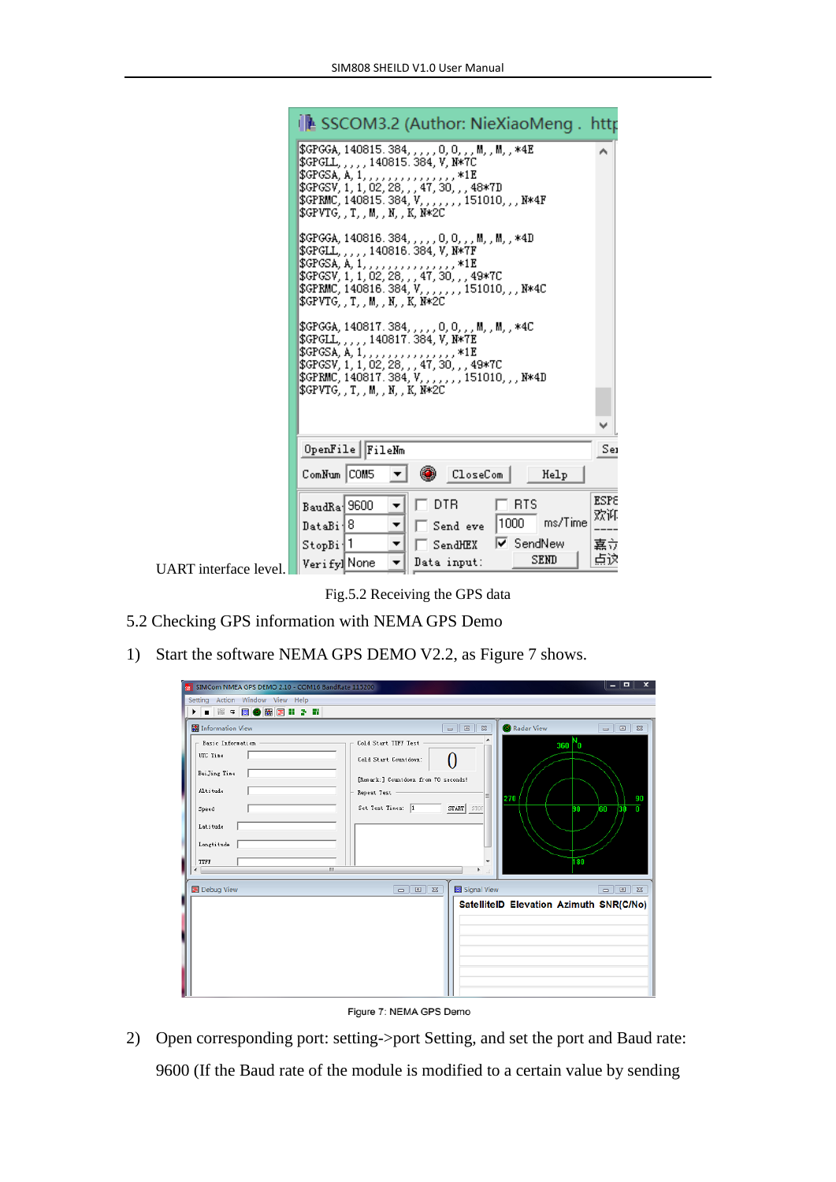|                       | ↓▲ SSCOM3.2 (Author: NieXiaoMeng . http                                                                                                                                                                                                                               |
|-----------------------|-----------------------------------------------------------------------------------------------------------------------------------------------------------------------------------------------------------------------------------------------------------------------|
|                       | \$GPGGA, 140815. 384, , , , , 0, 0, , , M, , M, , *4E<br>\$GPGLL, , , , , 140815.384, V, N*7C<br>\$GPGSV, 1, 1, 02, 28, , , 47, 30, , , 48*7D<br>\$GPRMC,140815.384,V,,,,,,,151010,,,N*4F\$<br>\$GPVTGTMNK.N*2C                                                       |
|                       | \$GPGGA, 140816.384, , , , , 0, 0, , , M, , M, , *4D<br>\$GPGLL,,,,,140816.384,V,N*7F<br>\$GPGSA, A, 1, , , , 1E<br>\$GPGSV, 1, 1, 02, 28, , , 47, 30, , , 49*7C<br>\$GPRMC,140816.384,V,,,,,,,151010,,,N*4C<br>\$GPVTGTMNK.N*2C                                      |
|                       | \$GPGGA, 140817.384, , , , , 0, 0, , , M, , M, , *4C<br>\$GPGLL,,,,,140817.384,V,N*7E<br>\$GPGSA, A, 1, , , , , , , , , , , , , , , , *1E<br>\$GPGSV, 1, 1, 02, 28, , , 47, 30, , , 49*7C<br>\$GPRMC, 140817.384, V, , , , , , , 151010, , , N*4D<br>\$GPVTGTMNK.N*2C |
|                       |                                                                                                                                                                                                                                                                       |
|                       | OpenFile   FileNm<br>Sei                                                                                                                                                                                                                                              |
|                       | ۰<br>ComNum COM5<br>  CloseCom<br>Help                                                                                                                                                                                                                                |
|                       | <b>ESPE</b><br><b>DTR</b><br><b>RTS</b><br>BaudRa 9600<br>▼<br>欢许<br>ms/Time<br>1000<br>DataBi <sup>18</sup><br>▼<br>Send eve<br>$\triangledown$ SendNew<br>嘉立<br>StopBi <sup>1</sup><br>▼<br>SendHEX                                                                 |
| UART interface level. | 点这<br><b>SEND</b><br>Data input:<br>Verify]None<br>▼                                                                                                                                                                                                                  |

Fig.5.2 Receiving the GPS data

- 5.2 Checking GPS information with NEMA GPS Demo
- 1) Start the software NEMA GPS DEMO V2.2, as Figure 7 shows.

| SIMCom NMEA GPS DEMO 2.10 - COM16 BandRate 115200                                                                        |                                                                                                                                                           | $\boldsymbol{\mathsf{x}}$<br>- 0                |
|--------------------------------------------------------------------------------------------------------------------------|-----------------------------------------------------------------------------------------------------------------------------------------------------------|-------------------------------------------------|
| Setting Action Window View Help                                                                                          |                                                                                                                                                           |                                                 |
| ※○国●盟国Ⅱ♪■<br>Þ.<br>$\blacksquare$                                                                                        |                                                                                                                                                           |                                                 |
| Information View                                                                                                         | Radar View<br>$\overline{\phantom{a}}$<br>$\Sigma$                                                                                                        | $\Box$ $\Box$                                   |
| Basic Information<br>UTC Time<br>BeiJing Tine<br>Altitude<br>Speed<br>Latitude<br>Longtitude<br>TTFF<br>m.<br>$\epsilon$ | ۸<br>Cold Start TTFF Test<br>Cold Start Countdown:<br>[Renark: ] Countdown from 70 seconds!<br>Repeat Test<br>E<br>270<br>Set Test Times: 1<br>START STOP | $360 N_0$<br>90<br>۵<br>760<br>730<br>90<br>180 |
| 国 Debug View                                                                                                             | Signal View<br>$\Box$ e                                                                                                                                   | $\Box$ $\Box$                                   |
|                                                                                                                          | SatelliteID Elevation Azimuth SNR(C/No)                                                                                                                   |                                                 |

Figure 7: NEMA GPS Demo

2) Open corresponding port: setting->port Setting, and set the port and Baud rate: 9600 (If the Baud rate of the module is modified to a certain value by sending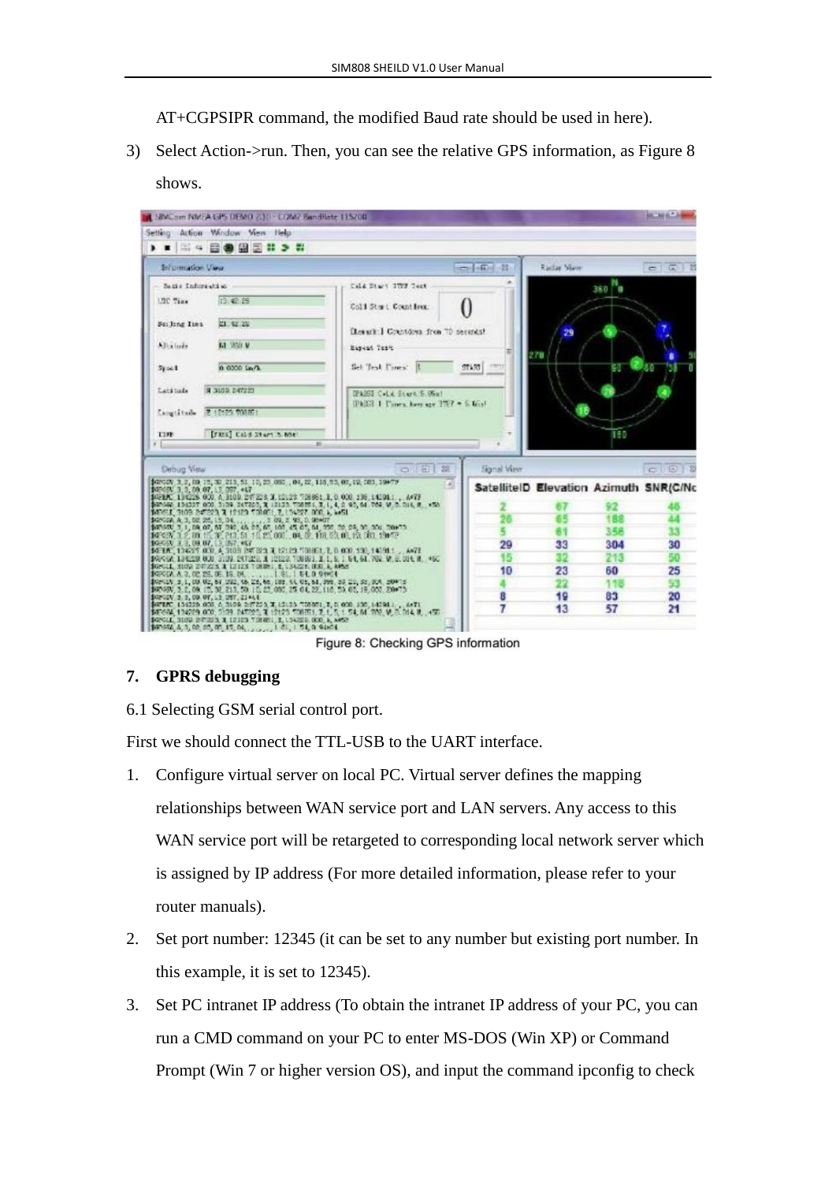AT+CGPSIPR command, the modified Baud rate should be used in here).

3) Select Action->run. Then, you can see the relative GPS information, as Figure 8 shows.

| SINCom NMEA GPS DEMO 230 - CON2 BandRate 115/00                                                                                                                                                                                                                                                                                                                                                                                                                                                                                                                                                                                                                                                                                                                                                                   |                                         |              |                                        |           | <b>RACINE BL. 24</b> |
|-------------------------------------------------------------------------------------------------------------------------------------------------------------------------------------------------------------------------------------------------------------------------------------------------------------------------------------------------------------------------------------------------------------------------------------------------------------------------------------------------------------------------------------------------------------------------------------------------------------------------------------------------------------------------------------------------------------------------------------------------------------------------------------------------------------------|-----------------------------------------|--------------|----------------------------------------|-----------|----------------------|
| Action Window View Help<br>Setting:                                                                                                                                                                                                                                                                                                                                                                                                                                                                                                                                                                                                                                                                                                                                                                               |                                         |              |                                        |           |                      |
| ▶ ■   ※ ◎ ◎ ⑧ ③ # ③ #                                                                                                                                                                                                                                                                                                                                                                                                                                                                                                                                                                                                                                                                                                                                                                                             |                                         |              |                                        |           |                      |
| Information View                                                                                                                                                                                                                                                                                                                                                                                                                                                                                                                                                                                                                                                                                                                                                                                                  |                                         | $n = 100$    | <b>Riche Man</b>                       |           | $C$ $\sqrt{2}$       |
| Sacis Information                                                                                                                                                                                                                                                                                                                                                                                                                                                                                                                                                                                                                                                                                                                                                                                                 | Cald Start ITEF Test                    |              |                                        | 38.0      |                      |
| 13.42.29<br><b>ITC Time</b>                                                                                                                                                                                                                                                                                                                                                                                                                                                                                                                                                                                                                                                                                                                                                                                       | Coll Start Count lees.                  |              |                                        |           |                      |
| Soi Jing Tins<br>21.92.29                                                                                                                                                                                                                                                                                                                                                                                                                                                                                                                                                                                                                                                                                                                                                                                         | (League: J. Countdown from 70 security) |              | 29                                     |           |                      |
| <b>Ed With V</b><br>Allia bode                                                                                                                                                                                                                                                                                                                                                                                                                                                                                                                                                                                                                                                                                                                                                                                    | Easent Test                             |              | 278                                    |           |                      |
| 0.0000 Lw 1<br>$5y \approx 1$                                                                                                                                                                                                                                                                                                                                                                                                                                                                                                                                                                                                                                                                                                                                                                                     | Set Test Cones:  L                      | ST130        |                                        | сa        | 40                   |
| <b>B 3109 E47221</b><br>Lats tude                                                                                                                                                                                                                                                                                                                                                                                                                                                                                                                                                                                                                                                                                                                                                                                 | IPASSI Cold Start S. 95al               |              |                                        |           |                      |
| 2 10:29 708051<br>Lengtitude                                                                                                                                                                                                                                                                                                                                                                                                                                                                                                                                                                                                                                                                                                                                                                                      | IPASSI 1 United Average 1767 = 5 Kind.  |              |                                        |           |                      |
| [YRIS] Cald Stori 5, hot<br><b>TISE</b>                                                                                                                                                                                                                                                                                                                                                                                                                                                                                                                                                                                                                                                                                                                                                                           |                                         |              |                                        | 190       |                      |
| 31                                                                                                                                                                                                                                                                                                                                                                                                                                                                                                                                                                                                                                                                                                                                                                                                                |                                         |              |                                        |           |                      |
|                                                                                                                                                                                                                                                                                                                                                                                                                                                                                                                                                                                                                                                                                                                                                                                                                   |                                         |              |                                        |           |                      |
| <b>Cebut View</b>                                                                                                                                                                                                                                                                                                                                                                                                                                                                                                                                                                                                                                                                                                                                                                                                 | 西北町<br>28                               | Signal View. |                                        |           | CIEIZ                |
| \$45,000, 3, 2, 09, 15, 30, 213, 51, 10, 23, 080, 04, 22, 118, 55, 06, 19, 081, 19477<br>\$450,000,000,000,000,000,000,000                                                                                                                                                                                                                                                                                                                                                                                                                                                                                                                                                                                                                                                                                        | œ                                       |              | SatelliteID Elevation Azimuth SNR(C/Nc |           |                      |
| \$45EAC 134228 000 A 3100 247228 T.12128 708851 E.0 000 186,142011 . A/77<br>\$2500 134227 000 3109 247225, 3 12123 708M 1, 3, 1, 4, 2, 95, 61, 769, W, B, D14, B, 456                                                                                                                                                                                                                                                                                                                                                                                                                                                                                                                                                                                                                                            |                                         |              |                                        |           |                      |
|                                                                                                                                                                                                                                                                                                                                                                                                                                                                                                                                                                                                                                                                                                                                                                                                                   |                                         |              |                                        | 92<br>182 |                      |
|                                                                                                                                                                                                                                                                                                                                                                                                                                                                                                                                                                                                                                                                                                                                                                                                                   |                                         |              |                                        | 35A       |                      |
|                                                                                                                                                                                                                                                                                                                                                                                                                                                                                                                                                                                                                                                                                                                                                                                                                   |                                         | 29           | 33                                     | 304       | 30                   |
|                                                                                                                                                                                                                                                                                                                                                                                                                                                                                                                                                                                                                                                                                                                                                                                                                   |                                         | 15           |                                        | 213       |                      |
|                                                                                                                                                                                                                                                                                                                                                                                                                                                                                                                                                                                                                                                                                                                                                                                                                   |                                         | 10           | 23                                     | 60        | 25                   |
|                                                                                                                                                                                                                                                                                                                                                                                                                                                                                                                                                                                                                                                                                                                                                                                                                   |                                         |              |                                        |           |                      |
| \$400000 9109 247229 3 12129 700001 7 134227 000 4 4451<br>datestak a, b, da ats, it, da.<br>datestak 3, i, da ang da 3, ia, ia, is, ia, i da ang da 3, a, sa ang da 3, ang dan daarta.<br>datastak 3, is, da 115, at 213, isi, 115, at 1001, ida, is, da 116, it in, ita, dan 3 borte.<br>10:030, 3.3, 09:07, 13, 057, 447<br>14-TAC, 134-25, 000, A, 3103 197-223, T, 12120, "10061, T, 0, 000, 130, 14191.1., ANTI<br>\$950A 136228 000 3109 247229, A 12123 708861, B. L. B. 1 64, 61, 762 M. S. 014, R. 460<br>\$65011, 2009 270223, A 12123 198891, E, LSA228, OOL A, AASS<br>\$45,000 g, 1, 00, 02, 61, 032, 46, 26, 66, 188, 44, 05, 61, 398, 86, 21, 58, 309, 209-15,<br>\$4749V, 3.2, 09, 15, 32, 213, 50, 15, 25, 000, 25, 04, 22, 110, 53, 05, 19, 000, 20073.<br>\$42-55V 3.3, 00 OF, 12 OST, 21444. |                                         | 8            | 19                                     | 83        | 20                   |
| \$67870, 196229.000, A 3108.047239, X 12129.708951, X, B 000, 130, 142911,  A471.<br>\$67664, 196229.000, 3109.047225, X 12129.708651, X, I, S, 1, S4, M, 992, W, B, D14, N,  450.                                                                                                                                                                                                                                                                                                                                                                                                                                                                                                                                                                                                                                |                                         |              | 13                                     | 57        | 21                   |

Figure 8: Checking GPS information

#### **7. GPRS debugging**

6.1 Selecting GSM serial control port.

First we should connect the TTL-USB to the UART interface.

- 1. Configure virtual server on local PC. Virtual server defines the mapping relationships between WAN service port and LAN servers. Any access to this WAN service port will be retargeted to corresponding local network server which is assigned by IP address (For more detailed information, please refer to your router manuals).
- 2. Set port number: 12345 (it can be set to any number but existing port number. In this example, it is set to 12345).
- 3. Set PC intranet IP address (To obtain the intranet IP address of your PC, you can run a CMD command on your PC to enter MS-DOS (Win XP) or Command Prompt (Win 7 or higher version OS), and input the command ipconfig to check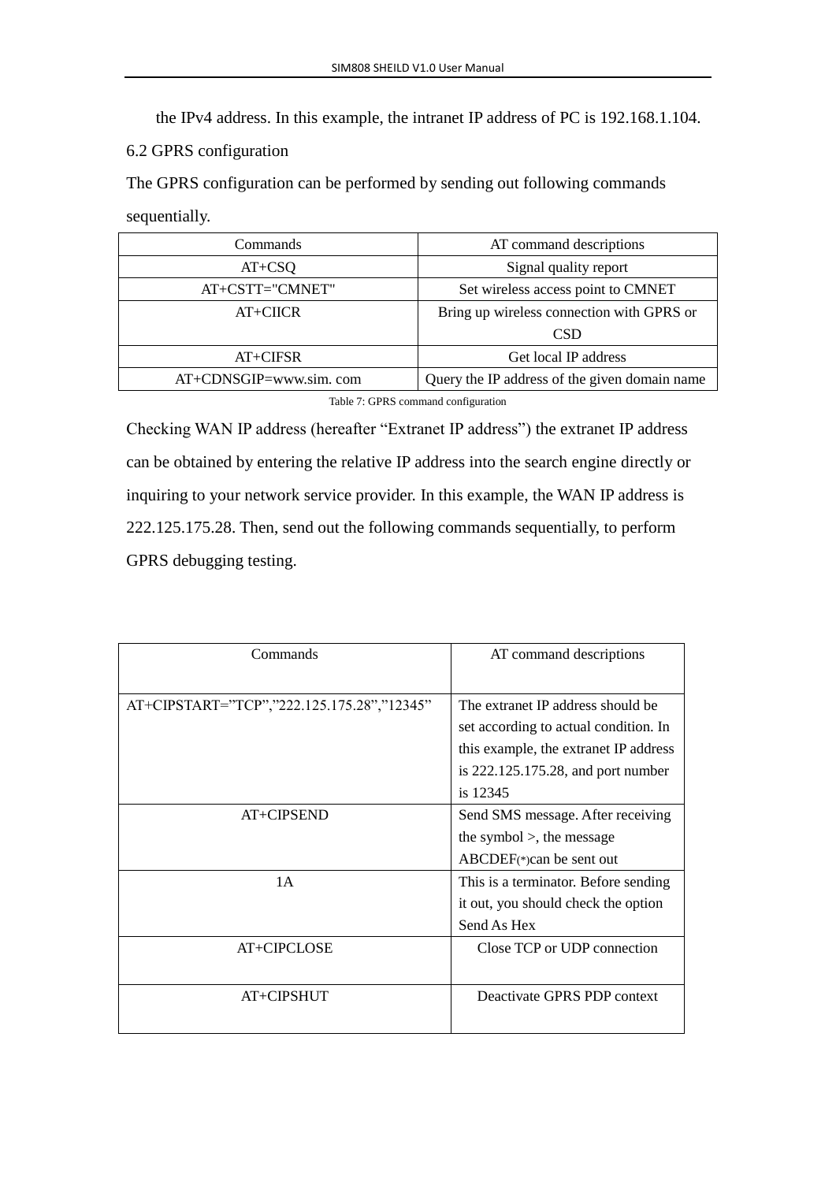the IPv4 address. In this example, the intranet IP address of PC is 192.168.1.104.

#### 6.2 GPRS configuration

The GPRS configuration can be performed by sending out following commands

sequentially.

| Commands               | AT command descriptions                       |
|------------------------|-----------------------------------------------|
| $AT+CSQ$               | Signal quality report                         |
| AT+CSTT="CMNET"        | Set wireless access point to CMNET            |
| $AT+CHCR$              | Bring up wireless connection with GPRS or     |
|                        | CSD                                           |
| $AT+CIFSR$             | Get local IP address                          |
| AT+CDNSGIP=www.sim.com | Query the IP address of the given domain name |

Table 7: GPRS command configuration

Checking WAN IP address (hereafter "Extranet IP address") the extranet IP address can be obtained by entering the relative IP address into the search engine directly or inquiring to your network service provider. In this example, the WAN IP address is 222.125.175.28. Then, send out the following commands sequentially, to perform GPRS debugging testing.

| Commands                                   | AT command descriptions                                                                                                                                                  |
|--------------------------------------------|--------------------------------------------------------------------------------------------------------------------------------------------------------------------------|
| AT+CIPSTART="TCP","222.125.175.28","12345" | The extranet IP address should be<br>set according to actual condition. In<br>this example, the extranet IP address<br>is $222.125.175.28$ , and port number<br>is 12345 |
| AT+CIPSEND                                 | Send SMS message. After receiving<br>the symbol $>$ , the message<br>$ABCDEF(*) can be sent out$                                                                         |
| 1A                                         | This is a terminator. Before sending<br>it out, you should check the option<br>Send As Hex                                                                               |
| AT+CIPCLOSE                                | Close TCP or UDP connection                                                                                                                                              |
| AT+CIPSHUT                                 | Deactivate GPRS PDP context                                                                                                                                              |